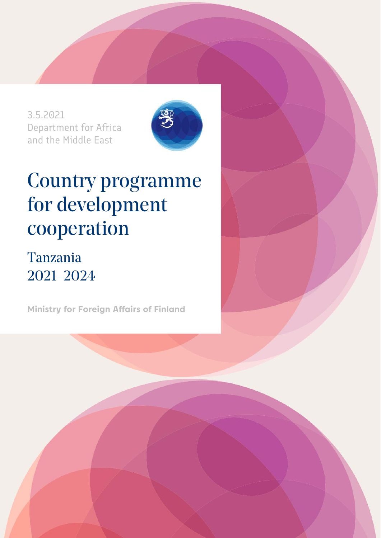3.5.2021 Department for Africa and the Middle East



# Country programme for development cooperation

## Tanzania 2021–2024

**Ministry for Foreign Affairs of Finland**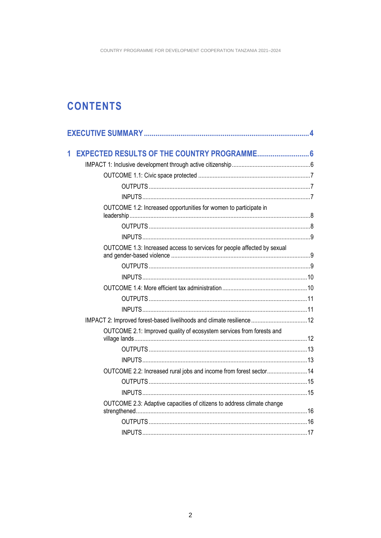### **CONTENTS**

| 1 |                                                                         |  |
|---|-------------------------------------------------------------------------|--|
|   |                                                                         |  |
|   |                                                                         |  |
|   |                                                                         |  |
|   |                                                                         |  |
|   | OUTCOME 1.2: Increased opportunities for women to participate in        |  |
|   |                                                                         |  |
|   |                                                                         |  |
|   | OUTCOME 1.3: Increased access to services for people affected by sexual |  |
|   |                                                                         |  |
|   |                                                                         |  |
|   |                                                                         |  |
|   |                                                                         |  |
|   |                                                                         |  |
|   | IMPACT 2: Improved forest-based livelihoods and climate resilience 12   |  |
|   | OUTCOME 2.1: Improved quality of ecosystem services from forests and    |  |
|   |                                                                         |  |
|   |                                                                         |  |
|   | OUTCOME 2.2: Increased rural jobs and income from forest sector 14      |  |
|   |                                                                         |  |
|   |                                                                         |  |
|   | OUTCOME 2.3: Adaptive capacities of citizens to address climate change  |  |
|   |                                                                         |  |
|   |                                                                         |  |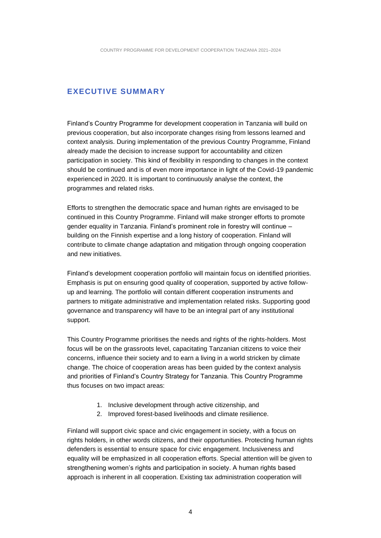#### <span id="page-3-0"></span>**EXECUTIVE SUMMARY**

Finland's Country Programme for development cooperation in Tanzania will build on previous cooperation, but also incorporate changes rising from lessons learned and context analysis. During implementation of the previous Country Programme, Finland already made the decision to increase support for accountability and citizen participation in society. This kind of flexibility in responding to changes in the context should be continued and is of even more importance in light of the Covid-19 pandemic experienced in 2020. It is important to continuously analyse the context, the programmes and related risks.

Efforts to strengthen the democratic space and human rights are envisaged to be continued in this Country Programme. Finland will make stronger efforts to promote gender equality in Tanzania. Finland's prominent role in forestry will continue – building on the Finnish expertise and a long history of cooperation. Finland will contribute to climate change adaptation and mitigation through ongoing cooperation and new initiatives.

Finland's development cooperation portfolio will maintain focus on identified priorities. Emphasis is put on ensuring good quality of cooperation, supported by active followup and learning. The portfolio will contain different cooperation instruments and partners to mitigate administrative and implementation related risks. Supporting good governance and transparency will have to be an integral part of any institutional support.

This Country Programme prioritises the needs and rights of the rights-holders. Most focus will be on the grassroots level, capacitating Tanzanian citizens to voice their concerns, influence their society and to earn a living in a world stricken by climate change. The choice of cooperation areas has been guided by the context analysis and priorities of Finland's Country Strategy for Tanzania. This Country Programme thus focuses on two impact areas:

- 1. Inclusive development through active citizenship, and
- 2. Improved forest-based livelihoods and climate resilience.

Finland will support civic space and civic engagement in society, with a focus on rights holders, in other words citizens, and their opportunities. Protecting human rights defenders is essential to ensure space for civic engagement. Inclusiveness and equality will be emphasized in all cooperation efforts. Special attention will be given to strengthening women's rights and participation in society. A human rights based approach is inherent in all cooperation. Existing tax administration cooperation will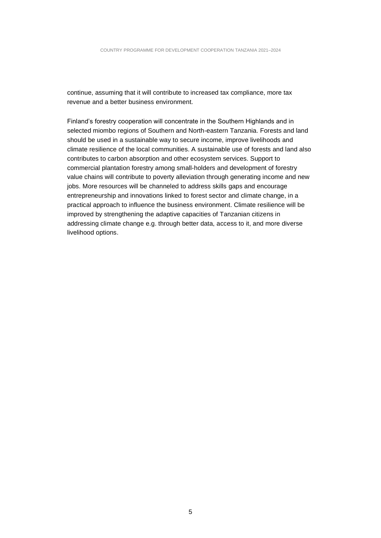continue, assuming that it will contribute to increased tax compliance, more tax revenue and a better business environment.

Finland's forestry cooperation will concentrate in the Southern Highlands and in selected miombo regions of Southern and North-eastern Tanzania. Forests and land should be used in a sustainable way to secure income, improve livelihoods and climate resilience of the local communities. A sustainable use of forests and land also contributes to carbon absorption and other ecosystem services. Support to commercial plantation forestry among small-holders and development of forestry value chains will contribute to poverty alleviation through generating income and new jobs. More resources will be channeled to address skills gaps and encourage entrepreneurship and innovations linked to forest sector and climate change, in a practical approach to influence the business environment. Climate resilience will be improved by strengthening the adaptive capacities of Tanzanian citizens in addressing climate change e.g. through better data, access to it, and more diverse livelihood options.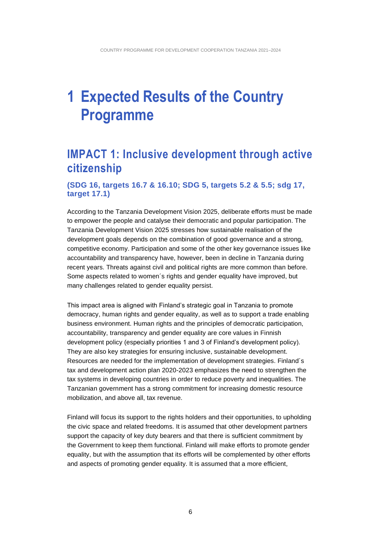## <span id="page-5-0"></span>**1 Expected Results of the Country Programme**

### <span id="page-5-1"></span>**IMPACT 1: Inclusive development through active citizenship**

#### **(SDG 16, targets 16.7 & 16.10; SDG 5, targets 5.2 & 5.5; sdg 17, target 17.1)**

According to the Tanzania Development Vision 2025, deliberate efforts must be made to empower the people and catalyse their democratic and popular participation. The Tanzania Development Vision 2025 stresses how sustainable realisation of the development goals depends on the combination of good governance and a strong, competitive economy. Participation and some of the other key governance issues like accountability and transparency have, however, been in decline in Tanzania during recent years. Threats against civil and political rights are more common than before. Some aspects related to women´s rights and gender equality have improved, but many challenges related to gender equality persist.

This impact area is aligned with Finland's strategic goal in Tanzania to promote democracy, human rights and gender equality, as well as to support a trade enabling business environment. Human rights and the principles of democratic participation, accountability, transparency and gender equality are core values in Finnish development policy (especially priorities 1 and 3 of Finland's development policy). They are also key strategies for ensuring inclusive, sustainable development. Resources are needed for the implementation of development strategies. Finland´s tax and development action plan 2020-2023 emphasizes the need to strengthen the tax systems in developing countries in order to reduce poverty and inequalities. The Tanzanian government has a strong commitment for increasing domestic resource mobilization, and above all, tax revenue.

Finland will focus its support to the rights holders and their opportunities, to upholding the civic space and related freedoms. It is assumed that other development partners support the capacity of key duty bearers and that there is sufficient commitment by the Government to keep them functional. Finland will make efforts to promote gender equality, but with the assumption that its efforts will be complemented by other efforts and aspects of promoting gender equality. It is assumed that a more efficient,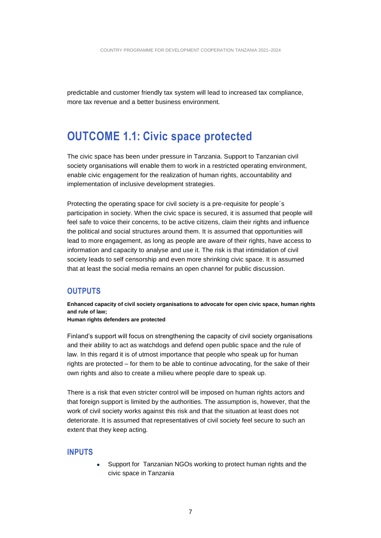predictable and customer friendly tax system will lead to increased tax compliance, more tax revenue and a better business environment.

### <span id="page-6-0"></span>**OUTCOME 1.1: Civic space protected**

The civic space has been under pressure in Tanzania. Support to Tanzanian civil society organisations will enable them to work in a restricted operating environment, enable civic engagement for the realization of human rights, accountability and implementation of inclusive development strategies.

Protecting the operating space for civil society is a pre-requisite for people´s participation in society. When the civic space is secured, it is assumed that people will feel safe to voice their concerns, to be active citizens, claim their rights and influence the political and social structures around them. It is assumed that opportunities will lead to more engagement, as long as people are aware of their rights, have access to information and capacity to analyse and use it. The risk is that intimidation of civil society leads to self censorship and even more shrinking civic space. It is assumed that at least the social media remains an open channel for public discussion.

#### <span id="page-6-1"></span>**OUTPUTS**

**Enhanced capacity of civil society organisations to advocate for open civic space, human rights and rule of law;** 

**Human rights defenders are protected**

Finland's support will focus on strengthening the capacity of civil society organisations and their ability to act as watchdogs and defend open public space and the rule of law. In this regard it is of utmost importance that people who speak up for human rights are protected – for them to be able to continue advocating, for the sake of their own rights and also to create a milieu where people dare to speak up.

There is a risk that even stricter control will be imposed on human rights actors and that foreign support is limited by the authorities. The assumption is, however, that the work of civil society works against this risk and that the situation at least does not deteriorate. It is assumed that representatives of civil society feel secure to such an extent that they keep acting.

#### <span id="page-6-2"></span>**INPUTS**

• Support for Tanzanian NGOs working to protect human rights and the civic space in Tanzania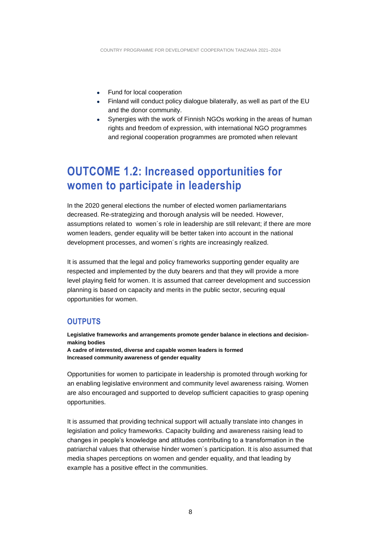- Fund for local cooperation
- Finland will conduct policy dialogue bilaterally, as well as part of the EU and the donor community.
- Synergies with the work of Finnish NGOs working in the areas of human rights and freedom of expression, with international NGO programmes and regional cooperation programmes are promoted when relevant

### <span id="page-7-0"></span>**OUTCOME 1.2: Increased opportunities for women to participate in leadership**

In the 2020 general elections the number of elected women parliamentarians decreased. Re-strategizing and thorough analysis will be needed. However, assumptions related to women´s role in leadership are still relevant; if there are more women leaders, gender equality will be better taken into account in the national development processes, and women´s rights are increasingly realized.

It is assumed that the legal and policy frameworks supporting gender equality are respected and implemented by the duty bearers and that they will provide a more level playing field for women. It is assumed that carreer development and succession planning is based on capacity and merits in the public sector, securing equal opportunities for women.

#### <span id="page-7-1"></span>**OUTPUTS**

**Legislative frameworks and arrangements promote gender balance in elections and decisionmaking bodies** 

**A cadre of interested, diverse and capable women leaders is formed Increased community awareness of gender equality** 

Opportunities for women to participate in leadership is promoted through working for an enabling legislative environment and community level awareness raising. Women are also encouraged and supported to develop sufficient capacities to grasp opening opportunities.

It is assumed that providing technical support will actually translate into changes in legislation and policy frameworks. Capacity building and awareness raising lead to changes in people's knowledge and attitudes contributing to a transformation in the patriarchal values that otherwise hinder women´s participation. It is also assumed that media shapes perceptions on women and gender equality, and that leading by example has a positive effect in the communities.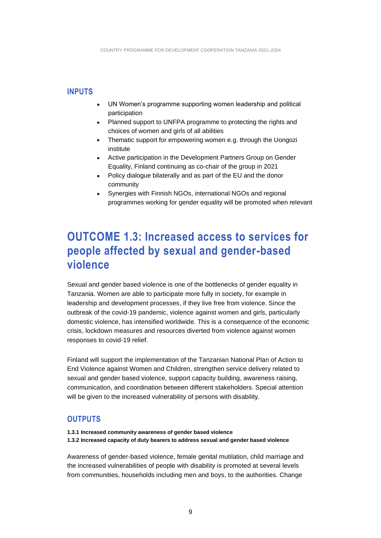#### <span id="page-8-0"></span>**INPUTS**

- UN Women's programme supporting women leadership and political participation
- Planned support to UNFPA programme to protecting the rights and choices of women and girls of all abilities
- Thematic support for empowering women e.g. through the Uongozi institute
- Active participation in the Development Partners Group on Gender Equality, Finland continuing as co-chair of the group in 2021
- Policy dialogue bilaterally and as part of the EU and the donor community
- Synergies with Finnish NGOs, international NGOs and regional programmes working for gender equality will be promoted when relevant

### <span id="page-8-1"></span>**OUTCOME 1.3: Increased access to services for people affected by sexual and gender-based violence**

Sexual and gender based violence is one of the bottlenecks of gender equality in Tanzania. Women are able to participate more fully in society, for example in leadership and development processes, if they live free from violence. Since the outbreak of the covid-19 pandemic, violence against women and girls, particularly domestic violence, has intensified worldwide. This is a consequence of the economic crisis, lockdown measures and resources diverted from violence against women responses to covid-19 relief.

Finland will support the implementation of the Tanzanian National Plan of Action to End Violence against Women and Children, strengthen service delivery related to sexual and gender based violence, support capacity building, awareness raising, communication, and coordination between different stakeholders. Special attention will be given to the increased vulnerability of persons with disability.

#### <span id="page-8-2"></span>**OUTPUTS**

**1.3.1 Increased community awareness of gender based violence 1.3.2 Increased capacity of duty bearers to address sexual and gender based violence**

Awareness of gender-based violence, female genital mutilation, child marriage and the increased vulnerabilities of people with disability is promoted at several levels from communities, households including men and boys, to the authorities. Change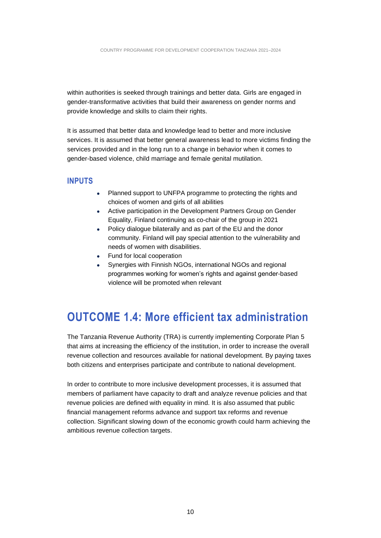within authorities is seeked through trainings and better data. Girls are engaged in gender-transformative activities that build their awareness on gender norms and provide knowledge and skills to claim their rights.

It is assumed that better data and knowledge lead to better and more inclusive services. It is assumed that better general awareness lead to more victims finding the services provided and in the long run to a change in behavior when it comes to gender-based violence, child marriage and female genital mutilation.

#### <span id="page-9-0"></span>**INPUTS**

- Planned support to UNFPA programme to protecting the rights and choices of women and girls of all abilities
- Active participation in the Development Partners Group on Gender Equality, Finland continuing as co-chair of the group in 2021
- Policy dialogue bilaterally and as part of the EU and the donor community. Finland will pay special attention to the vulnerability and needs of women with disabilities.
- Fund for local cooperation
- Synergies with Finnish NGOs, international NGOs and regional programmes working for women's rights and against gender-based violence will be promoted when relevant

### <span id="page-9-1"></span>**OUTCOME 1.4: More efficient tax administration**

The Tanzania Revenue Authority (TRA) is currently implementing Corporate Plan 5 that aims at increasing the efficiency of the institution, in order to increase the overall revenue collection and resources available for national development. By paying taxes both citizens and enterprises participate and contribute to national development.

In order to contribute to more inclusive development processes, it is assumed that members of parliament have capacity to draft and analyze revenue policies and that revenue policies are defined with equality in mind. It is also assumed that public financial management reforms advance and support tax reforms and revenue collection. Significant slowing down of the economic growth could harm achieving the ambitious revenue collection targets.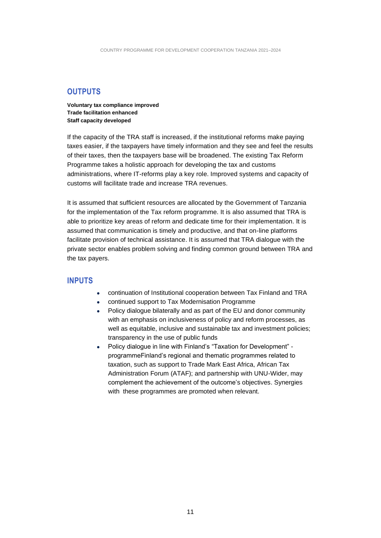#### <span id="page-10-0"></span>**OUTPUTS**

**Voluntary tax compliance improved Trade facilitation enhanced Staff capacity developed** 

If the capacity of the TRA staff is increased, if the institutional reforms make paying taxes easier, if the taxpayers have timely information and they see and feel the results of their taxes, then the taxpayers base will be broadened. The existing Tax Reform Programme takes a holistic approach for developing the tax and customs administrations, where IT-reforms play a key role. Improved systems and capacity of customs will facilitate trade and increase TRA revenues.

It is assumed that sufficient resources are allocated by the Government of Tanzania for the implementation of the Tax reform programme. It is also assumed that TRA is able to prioritize key areas of reform and dedicate time for their implementation. It is assumed that communication is timely and productive, and that on-line platforms facilitate provision of technical assistance. It is assumed that TRA dialogue with the private sector enables problem solving and finding common ground between TRA and the tax payers.

#### <span id="page-10-1"></span>**INPUTS**

- continuation of Institutional cooperation between Tax Finland and TRA
- continued support to Tax Modernisation Programme
- Policy dialogue bilaterally and as part of the EU and donor community with an emphasis on inclusiveness of policy and reform processes, as well as equitable, inclusive and sustainable tax and investment policies; transparency in the use of public funds
- Policy dialogue in line with Finland's "Taxation for Development" programmeFinland's regional and thematic programmes related to taxation, such as support to Trade Mark East Africa, African Tax Administration Forum (ATAF); and partnership with UNU-Wider, may complement the achievement of the outcome's objectives. Synergies with these programmes are promoted when relevant.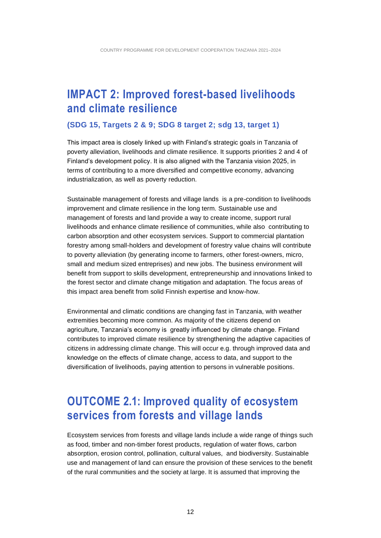### <span id="page-11-0"></span>**IMPACT 2: Improved forest-based livelihoods and climate resilience**

#### **(SDG 15, Targets 2 & 9; SDG 8 target 2; sdg 13, target 1)**

This impact area is closely linked up with Finland's strategic goals in Tanzania of poverty alleviation, livelihoods and climate resilience. It supports priorities 2 and 4 of Finland's development policy. It is also aligned with the Tanzania vision 2025, in terms of contributing to a more diversified and competitive economy, advancing industrialization, as well as poverty reduction.

Sustainable management of forests and village lands is a pre-condition to livelihoods improvement and climate resilience in the long term. Sustainable use and management of forests and land provide a way to create income, support rural livelihoods and enhance climate resilience of communities, while also contributing to carbon absorption and other ecosystem services. Support to commercial plantation forestry among small-holders and development of forestry value chains will contribute to poverty alleviation (by generating income to farmers, other forest-owners, micro, small and medium sized entreprises) and new jobs. The business environment will benefit from support to skills development, entrepreneurship and innovations linked to the forest sector and climate change mitigation and adaptation. The focus areas of this impact area benefit from solid Finnish expertise and know-how.

Environmental and climatic conditions are changing fast in Tanzania, with weather extremities becoming more common. As majority of the citizens depend on agriculture, Tanzania's economy is greatly influenced by climate change. Finland contributes to improved climate resilience by strengthening the adaptive capacities of citizens in addressing climate change. This will occur e.g. through improved data and knowledge on the effects of climate change, access to data, and support to the diversification of livelihoods, paying attention to persons in vulnerable positions.

### <span id="page-11-1"></span>**OUTCOME 2.1: Improved quality of ecosystem services from forests and village lands**

Ecosystem services from forests and village lands include a wide range of things such as food, timber and non-timber forest products, regulation of water flows, carbon absorption, erosion control, pollination, cultural values, and biodiversity. Sustainable use and management of land can ensure the provision of these services to the benefit of the rural communities and the society at large. It is assumed that improving the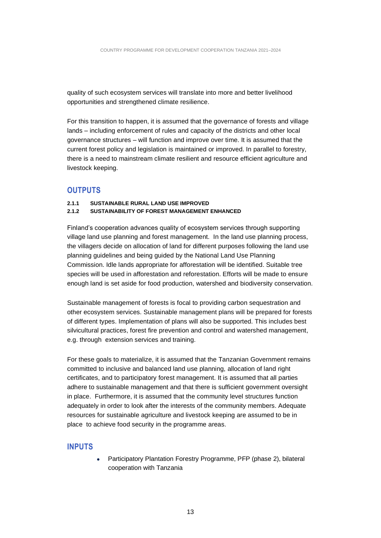quality of such ecosystem services will translate into more and better livelihood opportunities and strengthened climate resilience.

For this transition to happen, it is assumed that the governance of forests and village lands – including enforcement of rules and capacity of the districts and other local governance structures – will function and improve over time. It is assumed that the current forest policy and legislation is maintained or improved. In parallel to forestry, there is a need to mainstream climate resilient and resource efficient agriculture and livestock keeping.

#### <span id="page-12-0"></span>**OUTPUTS**

#### **2.1.1 SUSTAINABLE RURAL LAND USE IMPROVED**

#### **2.1.2 SUSTAINABILITY OF FOREST MANAGEMENT ENHANCED**

Finland's cooperation advances quality of ecosystem services through supporting village land use planning and forest management. In the land use planning process, the villagers decide on allocation of land for different purposes following the land use planning guidelines and being guided by the National Land Use Planning Commission. Idle lands appropriate for afforestation will be identified. Suitable tree species will be used in afforestation and reforestation. Efforts will be made to ensure enough land is set aside for food production, watershed and biodiversity conservation.

Sustainable management of forests is focal to providing carbon sequestration and other ecosystem services. Sustainable management plans will be prepared for forests of different types. Implementation of plans will also be supported. This includes best silvicultural practices, forest fire prevention and control and watershed management, e.g. through extension services and training.

For these goals to materialize, it is assumed that the Tanzanian Government remains committed to inclusive and balanced land use planning, allocation of land right certificates, and to participatory forest management. It is assumed that all parties adhere to sustainable management and that there is sufficient government oversight in place. Furthermore, it is assumed that the community level structures function adequately in order to look after the interests of the community members. Adequate resources for sustainable agriculture and livestock keeping are assumed to be in place to achieve food security in the programme areas.

#### <span id="page-12-1"></span>**INPUTS**

• Participatory Plantation Forestry Programme, PFP (phase 2), bilateral cooperation with Tanzania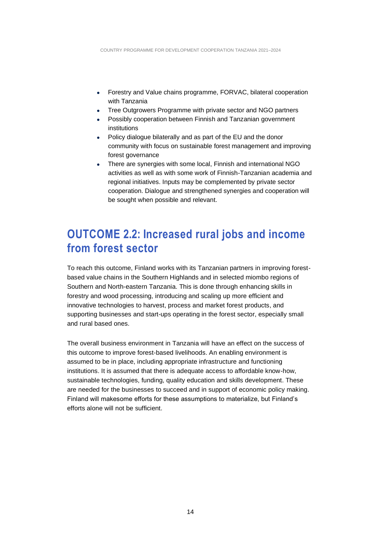- Forestry and Value chains programme, FORVAC, bilateral cooperation with Tanzania
- Tree Outgrowers Programme with private sector and NGO partners
- Possibly cooperation between Finnish and Tanzanian government institutions
- Policy dialogue bilaterally and as part of the EU and the donor community with focus on sustainable forest management and improving forest governance
- There are synergies with some local, Finnish and international NGO activities as well as with some work of Finnish-Tanzanian academia and regional initiatives. Inputs may be complemented by private sector cooperation. Dialogue and strengthened synergies and cooperation will be sought when possible and relevant.

### <span id="page-13-0"></span>**OUTCOME 2.2: Increased rural jobs and income from forest sector**

To reach this outcome, Finland works with its Tanzanian partners in improving forestbased value chains in the Southern Highlands and in selected miombo regions of Southern and North-eastern Tanzania. This is done through enhancing skills in forestry and wood processing, introducing and scaling up more efficient and innovative technologies to harvest, process and market forest products, and supporting businesses and start-ups operating in the forest sector, especially small and rural based ones.

The overall business environment in Tanzania will have an effect on the success of this outcome to improve forest-based livelihoods. An enabling environment is assumed to be in place, including appropriate infrastructure and functioning institutions. It is assumed that there is adequate access to affordable know-how, sustainable technologies, funding, quality education and skills development. These are needed for the businesses to succeed and in support of economic policy making. Finland will makesome efforts for these assumptions to materialize, but Finland's efforts alone will not be sufficient.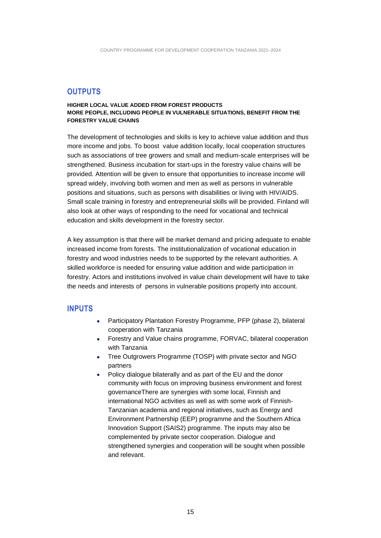#### <span id="page-14-0"></span>**OUTPUTS**

#### **HIGHER LOCAL VALUE ADDED FROM FOREST PRODUCTS MORE PEOPLE, INCLUDING PEOPLE IN VULNERABLE SITUATIONS, BENEFIT FROM THE FORESTRY VALUE CHAINS**

The development of technologies and skills is key to achieve value addition and thus more income and jobs. To boost value addition locally, local cooperation structures such as associations of tree growers and small and medium-scale enterprises will be strengthened. Business incubation for start-ups in the forestry value chains will be provided. Attention will be given to ensure that opportunities to increase income will spread widely, involving both women and men as well as persons in vulnerable positions and situations, such as persons with disabilities or living with HIV/AIDS. Small scale training in forestry and entrepreneurial skills will be provided. Finland will also look at other ways of responding to the need for vocational and technical education and skills development in the forestry sector.

A key assumption is that there will be market demand and pricing adequate to enable increased income from forests. The institutionalization of vocational education in forestry and wood industries needs to be supported by the relevant authorities. A skilled workforce is needed for ensuring value addition and wide participation in forestry. Actors and institutions involved in value chain development will have to take the needs and interests of persons in vulnerable positions properly into account.

#### <span id="page-14-1"></span>**INPUTS**

- Participatory Plantation Forestry Programme, PFP (phase 2), bilateral cooperation with Tanzania
- Forestry and Value chains programme, FORVAC, bilateral cooperation with Tanzania
- Tree Outgrowers Programme (TOSP) with private sector and NGO partners
- Policy dialogue bilaterally and as part of the EU and the donor community with focus on improving business environment and forest governanceThere are synergies with some local, Finnish and international NGO activities as well as with some work of Finnish-Tanzanian academia and regional initiatives, such as Energy and Environment Partnership (EEP) programme and the Southern Africa Innovation Support (SAIS2) programme. The inputs may also be complemented by private sector cooperation. Dialogue and strengthened synergies and cooperation will be sought when possible and relevant.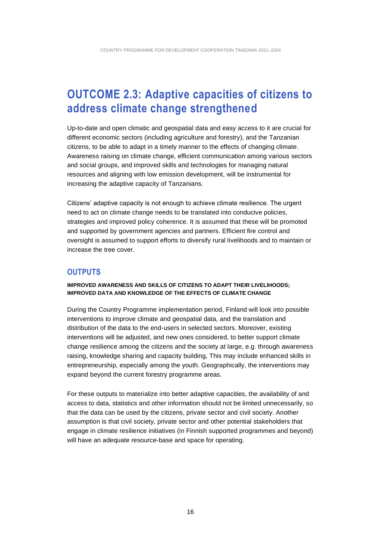### <span id="page-15-0"></span>**OUTCOME 2.3: Adaptive capacities of citizens to address climate change strengthened**

Up-to-date and open climatic and geospatial data and easy access to it are crucial for different economic sectors (including agriculture and forestry), and the Tanzanian citizens, to be able to adapt in a timely manner to the effects of changing climate. Awareness raising on climate change, efficient communication among various sectors and social groups, and improved skills and technologies for managing natural resources and aligning with low emission development, will be instrumental for increasing the adaptive capacity of Tanzanians.

Citizens' adaptive capacity is not enough to achieve climate resilience. The urgent need to act on climate change needs to be translated into conducive policies, strategies and improved policy coherence. It is assumed that these will be promoted and supported by government agencies and partners. Efficient fire control and oversight is assumed to support efforts to diversify rural livelihoods and to maintain or increase the tree cover.

#### <span id="page-15-1"></span>**OUTPUTS**

#### **IMPROVED AWARENESS AND SKILLS OF CITIZENS TO ADAPT THEIR LIVELIHOODS; IMPROVED DATA AND KNOWLEDGE OF THE EFFECTS OF CLIMATE CHANGE**

During the Country Programme implementation period, Finland will look into possible interventions to improve climate and geospatial data, and the translation and distribution of the data to the end-users in selected sectors. Moreover, existing interventions will be adjusted, and new ones considered, to better support climate change resilience among the citizens and the society at large, e.g. through awareness raising, knowledge sharing and capacity building, This may include enhanced skills in entrepreneurship, especially among the youth. Geographically, the interventions may expand beyond the current forestry programme areas.

For these outputs to materialize into better adaptive capacities, the availability of and access to data, statistics and other information should not be limited unnecessarily, so that the data can be used by the citizens, private sector and civil society. Another assumption is that civil society, private sector and other potential stakeholders that engage in climate resilience initiatives (in Finnish supported programmes and beyond) will have an adequate resource-base and space for operating.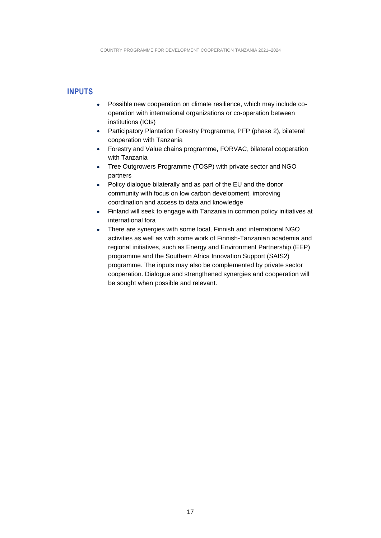#### <span id="page-16-0"></span>**INPUTS**

- Possible new cooperation on climate resilience, which may include cooperation with international organizations or co-operation between institutions (ICIs)
- Participatory Plantation Forestry Programme, PFP (phase 2), bilateral cooperation with Tanzania
- Forestry and Value chains programme, FORVAC, bilateral cooperation with Tanzania
- Tree Outgrowers Programme (TOSP) with private sector and NGO partners
- Policy dialogue bilaterally and as part of the EU and the donor community with focus on low carbon development, improving coordination and access to data and knowledge
- Finland will seek to engage with Tanzania in common policy initiatives at international fora
- There are synergies with some local, Finnish and international NGO activities as well as with some work of Finnish-Tanzanian academia and regional initiatives, such as Energy and Environment Partnership (EEP) programme and the Southern Africa Innovation Support (SAIS2) programme. The inputs may also be complemented by private sector cooperation. Dialogue and strengthened synergies and cooperation will be sought when possible and relevant.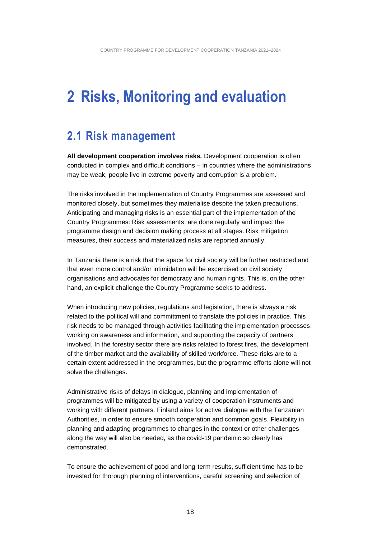## <span id="page-17-0"></span>**2 Risks, Monitoring and evaluation**

### <span id="page-17-1"></span>**2.1 Risk management**

**All development cooperation involves risks.** Development cooperation is often conducted in complex and difficult conditions – in countries where the administrations may be weak, people live in extreme poverty and corruption is a problem.

The risks involved in the implementation of Country Programmes are assessed and monitored closely, but sometimes they materialise despite the taken precautions. Anticipating and managing risks is an essential part of the implementation of the Country Programmes: Risk assessments are done regularly and impact the programme design and decision making process at all stages. Risk mitigation measures, their success and materialized risks are reported annually.

In Tanzania there is a risk that the space for civil society will be further restricted and that even more control and/or intimidation will be excercised on civil society organisations and advocates for democracy and human rights. This is, on the other hand, an explicit challenge the Country Programme seeks to address.

When introducing new policies, regulations and legislation, there is always a risk related to the political will and committment to translate the policies in practice. This risk needs to be managed through activities facilitating the implementation processes, working on awareness and information, and supporting the capacity of partners involved. In the forestry sector there are risks related to forest fires, the development of the timber market and the availability of skilled workforce. These risks are to a certain extent addressed in the programmes, but the programme efforts alone will not solve the challenges.

Administrative risks of delays in dialogue, planning and implementation of programmes will be mitigated by using a variety of cooperation instruments and working with different partners. Finland aims for active dialogue with the Tanzanian Authorities, in order to ensure smooth cooperation and common goals. Flexibility in planning and adapting programmes to changes in the context or other challenges along the way will also be needed, as the covid-19 pandemic so clearly has demonstrated.

To ensure the achievement of good and long-term results, sufficient time has to be invested for thorough planning of interventions, careful screening and selection of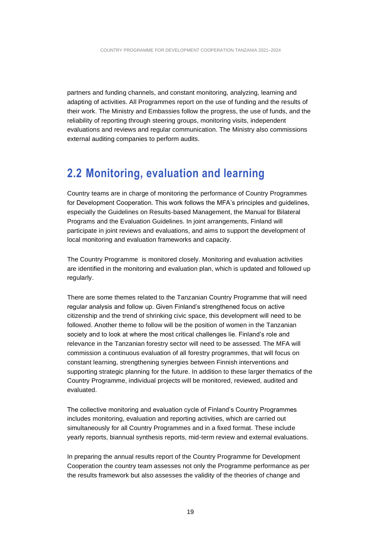partners and funding channels, and constant monitoring, analyzing, learning and adapting of activities. All Programmes report on the use of funding and the results of their work. The Ministry and Embassies follow the progress, the use of funds, and the reliability of reporting through steering groups, monitoring visits, independent evaluations and reviews and regular communication. The Ministry also commissions external auditing companies to perform audits.

### <span id="page-18-0"></span>**2.2 Monitoring, evaluation and learning**

Country teams are in charge of monitoring the performance of Country Programmes for Development Cooperation. This work follows the MFA's principles and guidelines, especially the Guidelines on Results-based Management, the Manual for Bilateral Programs and the Evaluation Guidelines. In joint arrangements, Finland will participate in joint reviews and evaluations, and aims to support the development of local monitoring and evaluation frameworks and capacity.

The Country Programme is monitored closely. Monitoring and evaluation activities are identified in the monitoring and evaluation plan, which is updated and followed up regularly.

There are some themes related to the Tanzanian Country Programme that will need regular analysis and follow up. Given Finland's strengthened focus on active citizenship and the trend of shrinking civic space, this development will need to be followed. Another theme to follow will be the position of women in the Tanzanian society and to look at where the most critical challenges lie. Finland's role and relevance in the Tanzanian forestry sector will need to be assessed. The MFA will commission a continuous evaluation of all forestry programmes, that will focus on constant learning, strengthening synergies between Finnish interventions and supporting strategic planning for the future. In addition to these larger thematics of the Country Programme, individual projects will be monitored, reviewed, audited and evaluated.

The collective monitoring and evaluation cycle of Finland's Country Programmes includes monitoring, evaluation and reporting activities, which are carried out simultaneously for all Country Programmes and in a fixed format. These include yearly reports, biannual synthesis reports, mid-term review and external evaluations.

In preparing the annual results report of the Country Programme for Development Cooperation the country team assesses not only the Programme performance as per the results framework but also assesses the validity of the theories of change and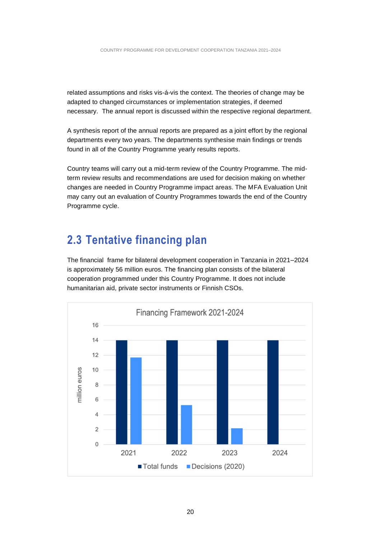related assumptions and risks vis-á-vis the context. The theories of change may be adapted to changed circumstances or implementation strategies, if deemed necessary. The annual report is discussed within the respective regional department.

A synthesis report of the annual reports are prepared as a joint effort by the regional departments every two years. The departments synthesise main findings or trends found in all of the Country Programme yearly results reports.

Country teams will carry out a mid-term review of the Country Programme. The midterm review results and recommendations are used for decision making on whether changes are needed in Country Programme impact areas. The MFA Evaluation Unit may carry out an evaluation of Country Programmes towards the end of the Country Programme cycle.

### <span id="page-19-0"></span>**2.3 Tentative financing plan**

The financial frame for bilateral development cooperation in Tanzania in 2021–2024 is approximately 56 million euros. The financing plan consists of the bilateral cooperation programmed under this Country Programme. It does not include humanitarian aid, private sector instruments or Finnish CSOs.